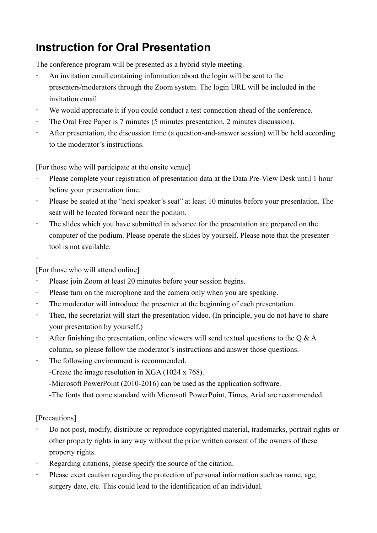# **Instruction for Oral Presentation**

The conference program will be presented as a hybrid style meeting.

- An invitation email containing information about the login will be sent to the presenters/moderators through the Zoom system. The login URL will be included in the invitation email.
- We would appreciate it if you could conduct a test connection ahead of the conference.
- The Oral Free Paper is 7 minutes (5 minutes presentation, 2 minutes discussion).
- After presentation, the discussion time (a question-and-answer session) will be held according to the moderator's instructions.

[For those who will participate at the onsite venue]

- Please complete your registration of presentation data at the Data Pre-View Desk until 1 hour before your presentation time.
- Please be seated at the "next speaker's seat" at least 10 minutes before your presentation. The seat will be located forward near the podium.
- The slides which you have submitted in advance for the presentation are prepared on the computer of the podium. Please operate the slides by yourself. Please note that the presenter tool is not available.
- $\ddot{\phantom{0}}$

[For those who will attend online]

- Please join Zoom at least 20 minutes before your session begins.
- Please turn on the microphone and the camera only when you are speaking.
- The moderator will introduce the presenter at the beginning of each presentation.
- Then, the secretariat will start the presentation video. (In principle, you do not have to share your presentation by yourself.)
- After finishing the presentation, online viewers will send textual questions to the  $Q & A$ column, so please follow the moderator's instructions and answer those questions.
- The following environment is recommended.
	- -Create the image resolution in XGA (1024 x 768).
	- -Microsoft PowerPoint (2010-2016) can be used as the application software.
	- -The fonts that come standard with Microsoft PowerPoint, Times, Arial are recommended.

[Precautions]

- Do not post, modify, distribute or reproduce copyrighted material, trademarks, portrait rights or other property rights in any way without the prior written consent of the owners of these property rights.
- Regarding citations, please specify the source of the citation.
- Please exert caution regarding the protection of personal information such as name, age, surgery date, etc. This could lead to the identification of an individual.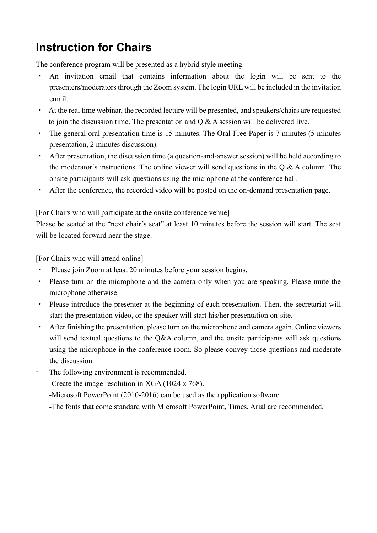# **Instruction for Chairs**

The conference program will be presented as a hybrid style meeting.

- An invitation email that contains information about the login will be sent to the presenters/moderators through the Zoom system. The login URL will be included in the invitation email.
- ・ At the real time webinar, the recorded lecture will be presented, and speakers/chairs are requested to join the discussion time. The presentation and  $Q & A$  session will be delivered live.
- The general oral presentation time is 15 minutes. The Oral Free Paper is 7 minutes (5 minutes presentation, 2 minutes discussion).
- After presentation, the discussion time (a question-and-answer session) will be held according to the moderator's instructions. The online viewer will send questions in the Q & A column. The onsite participants will ask questions using the microphone at the conference hall.
- After the conference, the recorded video will be posted on the on-demand presentation page.

[For Chairs who will participate at the onsite conference venue]

Please be seated at the "next chair's seat" at least 10 minutes before the session will start. The seat will be located forward near the stage.

[For Chairs who will attend online]

- Please join Zoom at least 20 minutes before your session begins.
- ・ Please turn on the microphone and the camera only when you are speaking. Please mute the microphone otherwise.
- ・ Please introduce the presenter at the beginning of each presentation. Then, the secretariat will start the presentation video, or the speaker will start his/her presentation on-site.
- After finishing the presentation, please turn on the microphone and camera again. Online viewers will send textual questions to the Q&A column, and the onsite participants will ask questions using the microphone in the conference room. So please convey those questions and moderate the discussion.
- The following environment is recommended.

-Create the image resolution in XGA (1024 x 768).

-Microsoft PowerPoint (2010-2016) can be used as the application software.

-The fonts that come standard with Microsoft PowerPoint, Times, Arial are recommended.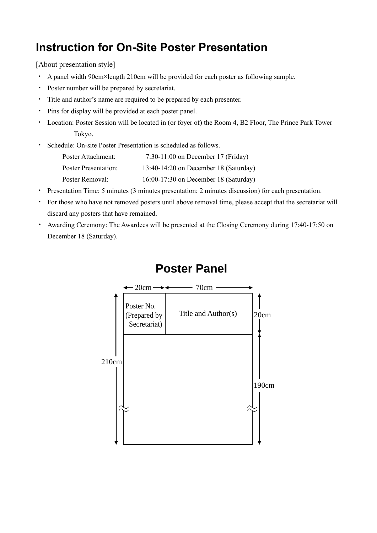### **Instruction for On-Site Poster Presentation**

[About presentation style]

- ・ A panel width 90cm×length 210cm will be provided for each poster as following sample.
- ・ Poster number will be prepared by secretariat.
- ・ Title and author's name are required to be prepared by each presenter.
- ・ Pins for display will be provided at each poster panel.
- ・ Location: Poster Session will be located in (or foyer of) the Room 4, B2 Floor, The Prince Park Tower Tokyo.
- ・ Schedule: On-site Poster Presentation is scheduled as follows.

| Poster Attachment:   | $7:30-11:00$ on December 17 (Friday)  |
|----------------------|---------------------------------------|
| Poster Presentation: | 13:40-14:20 on December 18 (Saturday) |
| Poster Removal:      | 16:00-17:30 on December 18 (Saturday) |

- ・ Presentation Time: 5 minutes (3 minutes presentation; 2 minutes discussion) for each presentation.
- ・ For those who have not removed posters until above removal time, please accept that the secretariat will discard any posters that have remained.
- ・ Awarding Ceremony: The Awardees will be presented at the Closing Ceremony during 17:40-17:50 on December 18 (Saturday).



#### **Poster Panel**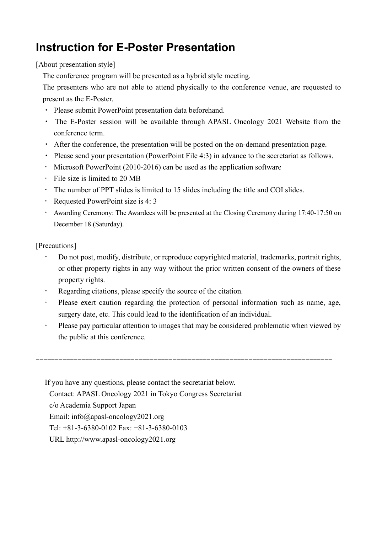## **Instruction for E-Poster Presentation**

[About presentation style]

The conference program will be presented as a hybrid style meeting.

The presenters who are not able to attend physically to the conference venue, are requested to present as the E-Poster.

- ・ Please submit PowerPoint presentation data beforehand.
- ・ The E-Poster session will be available through APASL Oncology 2021 Website from the conference term.
- ・ After the conference, the presentation will be posted on the on-demand presentation page.
- ・ Please send your presentation (PowerPoint File 4:3) in advance to the secretariat as follows.
- Microsoft PowerPoint (2010-2016) can be used as the application software
- $\cdot$  File size is limited to 20 MB
- The number of PPT slides is limited to 15 slides including the title and COI slides.
- Requested PowerPoint size is 4: 3
- Awarding Ceremony: The Awardees will be presented at the Closing Ceremony during 17:40-17:50 on December 18 (Saturday).

[Precautions]

- Do not post, modify, distribute, or reproduce copyrighted material, trademarks, portrait rights, or other property rights in any way without the prior written consent of the owners of these property rights.
- Regarding citations, please specify the source of the citation.
- Please exert caution regarding the protection of personal information such as name, age, surgery date, etc. This could lead to the identification of an individual.
- Please pay particular attention to images that may be considered problematic when viewed by the public at this conference.

------------------------------------------------------------------------------

If you have any questions, please contact the secretariat below. Contact: APASL Oncology 2021 in Tokyo Congress Secretariat c/o Academia Support Japan Email: info@apasl-oncology2021.org Tel: +81-3-6380-0102 Fax: +81-3-6380-0103 URL http://www.apasl-oncology2021.org